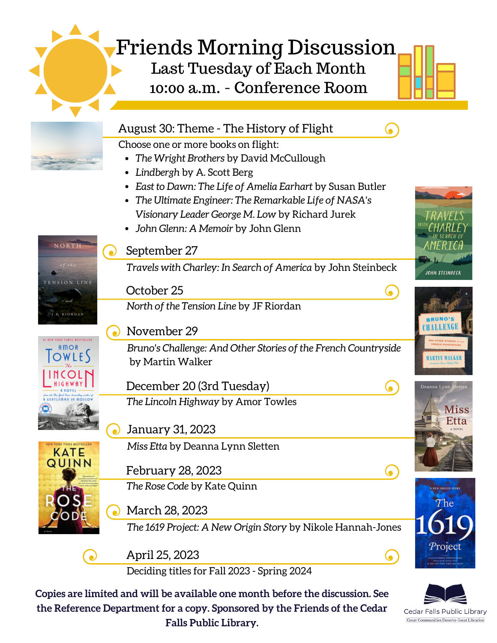## Friends Morning Discussion Last Tuesday of Each Month 10:00 a.m. - Conference Room

|                                     | August 30: Theme - The History of Flight                              |                     |
|-------------------------------------|-----------------------------------------------------------------------|---------------------|
|                                     | Choose one or more books on flight:                                   |                     |
|                                     | The Wright Brothers by David McCullough<br>$\bullet$                  |                     |
|                                     | Lindbergh by A. Scott Berg<br>$\bullet$                               |                     |
|                                     | East to Dawn: The Life of Amelia Earhart by Susan Butler<br>$\bullet$ |                     |
|                                     | The Ultimate Engineer: The Remarkable Life of NASA's<br>٠             |                     |
|                                     | Visionary Leader George M. Low by Richard Jurek                       |                     |
|                                     | John Glenn: A Memoir by John Glenn<br>$\bullet$                       |                     |
| NORTH                               | September 27                                                          |                     |
|                                     | Travels with Charley: In Search of America by John Steinbeck          | JOHN STEINBECK      |
|                                     | October 25                                                            |                     |
| <b>IR RIORDAN</b>                   | North of the Tension Line by JF Riordan                               |                     |
|                                     | November 29                                                           |                     |
|                                     | Bruno's Challenge: And Other Stories of the French Countryside        |                     |
|                                     | by Martin Walker                                                      |                     |
|                                     |                                                                       |                     |
|                                     | December 20 (3rd Tuesday)                                             | Deanna Lynn Sletten |
|                                     | The Lincoln Highway by Amor Towles                                    | <b>Miss</b><br>Etta |
|                                     | January 31, 2023                                                      |                     |
| <b>ORK TIMES BESTSELLED</b><br>KATE | Miss Etta by Deanna Lynn Sletten                                      |                     |
|                                     | February 28, 2023                                                     |                     |
|                                     | The Rose Code by Kate Quinn                                           | NEW ORIGIN ST       |
|                                     | March 28, 2023                                                        |                     |
|                                     | The 1619 Project: A New Origin Story by Nikole Hannah-Jones           |                     |
|                                     | April 25, 2023                                                        | Projec              |
|                                     | Deciding titles for Fall 2023 - Spring 2024                           |                     |



Cedar Falls Public Library **Great Communities Deserve Great Libraries**